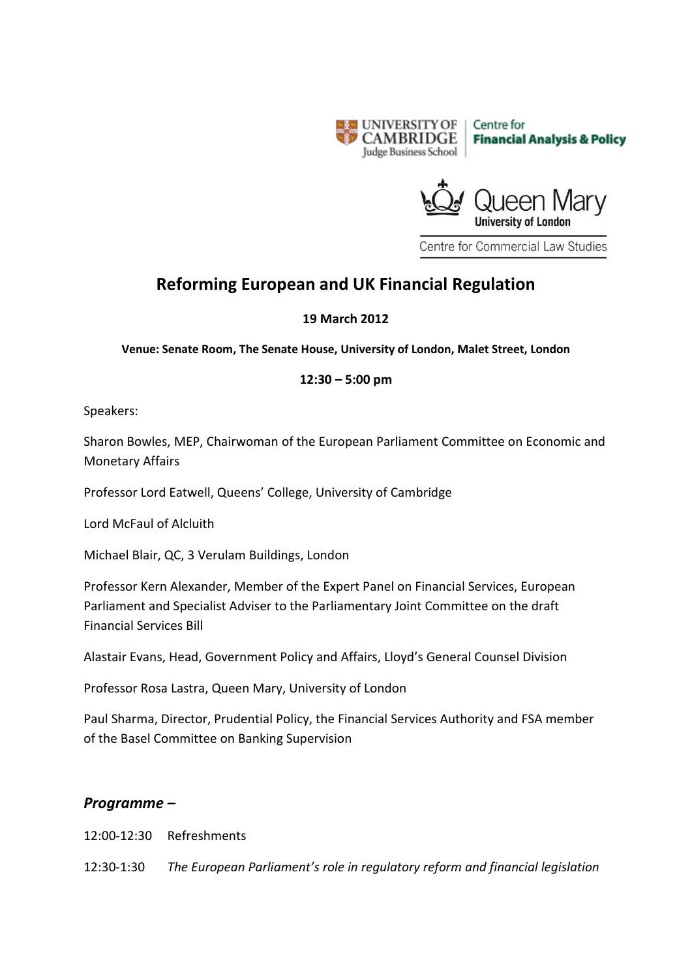



Centre for Commercial Law Studies

# **Reforming European and UK Financial Regulation**

#### **19 March 2012**

**Venue: Senate Room, The Senate House, University of London, Malet Street, London**

## **12:30 – 5:00 pm**

Speakers:

Sharon Bowles, MEP, Chairwoman of the European Parliament Committee on Economic and Monetary Affairs

Professor Lord Eatwell, Queens' College, University of Cambridge

Lord McFaul of Alcluith

Michael Blair, QC, 3 Verulam Buildings, London

Professor Kern Alexander, Member of the Expert Panel on Financial Services, European Parliament and Specialist Adviser to the Parliamentary Joint Committee on the draft Financial Services Bill

Alastair Evans, Head, Government Policy and Affairs, Lloyd's General Counsel Division

Professor Rosa Lastra, Queen Mary, University of London

Paul Sharma, Director, Prudential Policy, the Financial Services Authority and FSA member of the Basel Committee on Banking Supervision

## *Programme –*

12:00-12:30 Refreshments

12:30-1:30 *The European Parliament's role in regulatory reform and financial legislation*